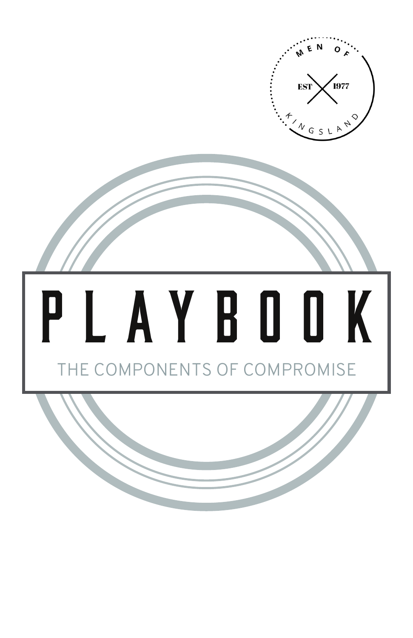

# PLAYBOOK THE COMPONENTS OF COMPROMISE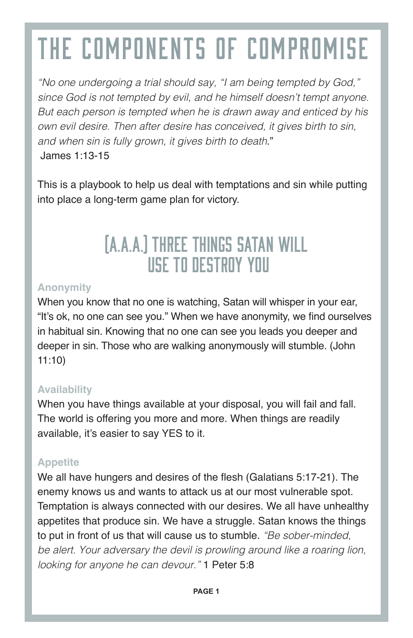# The Components of Compromise

*"No one undergoing a trial should say, "I am being tempted by God," since God is not tempted by evil, and he himself doesn't tempt anyone. But each person is tempted when he is drawn away and enticed by his own evil desire. Then after desire has conceived, it gives birth to sin, and when sin is fully grown, it gives birth to death*." James 1:13-15

This is a playbook to help us deal with temptations and sin while putting into place a long-term game plan for victory.

### (A.A.A.) Three things Satan will use to destroy you

#### **Anonymity**

When you know that no one is watching, Satan will whisper in your ear, "It's ok, no one can see you." When we have anonymity, we find ourselves in habitual sin. Knowing that no one can see you leads you deeper and deeper in sin. Those who are walking anonymously will stumble. (John 11:10)

#### **Availability**

When you have things available at your disposal, you will fail and fall. The world is offering you more and more. When things are readily available, it's easier to say YES to it.

#### **Appetite**

We all have hungers and desires of the flesh (Galatians 5:17-21). The enemy knows us and wants to attack us at our most vulnerable spot. Temptation is always connected with our desires. We all have unhealthy appetites that produce sin. We have a struggle. Satan knows the things to put in front of us that will cause us to stumble. *"Be sober-minded, be alert. Your adversary the devil is prowling around like a roaring lion, looking for anyone he can devour."* 1 Peter 5:8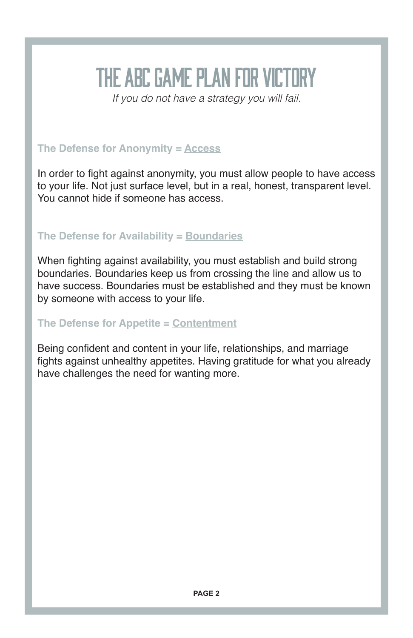## The ABC Game Plan for Victory

*If you do not have a strategy you will fail.*

#### **The Defense for Anonymity = Access**

In order to fight against anonymity, you must allow people to have access to your life. Not just surface level, but in a real, honest, transparent level. You cannot hide if someone has access.

#### **The Defense for Availability = Boundaries**

When fighting against availability, you must establish and build strong boundaries. Boundaries keep us from crossing the line and allow us to have success. Boundaries must be established and they must be known by someone with access to your life.

#### **The Defense for Appetite = Contentment**

Being confident and content in your life, relationships, and marriage fights against unhealthy appetites. Having gratitude for what you already have challenges the need for wanting more.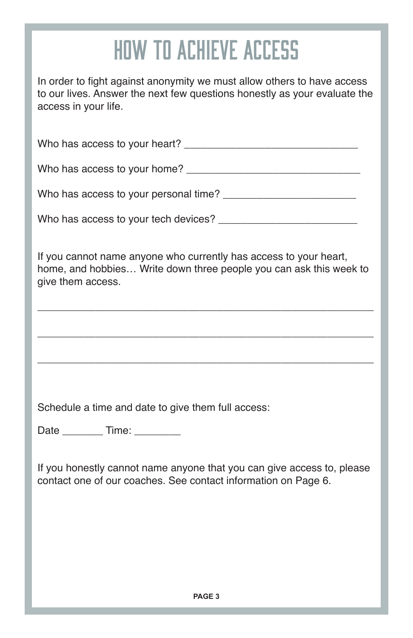### How to Achieve Access

In order to fight against anonymity we must allow others to have access to our lives. Answer the next few questions honestly as your evaluate the access in your life.

Who has access to your heart? \_\_\_\_\_\_\_\_\_\_\_\_\_\_\_\_\_\_\_\_\_\_\_\_\_\_\_\_\_\_

Who has access to your home? \_\_\_\_\_\_\_\_\_\_\_\_\_\_\_\_\_\_\_\_\_\_\_\_\_\_\_\_\_\_

Who has access to your personal time? \_\_\_\_\_\_\_\_\_\_\_\_\_\_\_\_\_\_\_\_\_\_\_

Who has access to your tech devices? \_\_\_\_\_\_\_\_\_\_\_\_\_\_\_\_\_\_\_\_\_\_\_\_

If you cannot name anyone who currently has access to your heart, home, and hobbies… Write down three people you can ask this week to give them access.

\_\_\_\_\_\_\_\_\_\_\_\_\_\_\_\_\_\_\_\_\_\_\_\_\_\_\_\_\_\_\_\_\_\_\_\_\_\_\_\_\_\_\_\_\_\_\_\_\_\_\_\_\_\_\_\_\_\_

\_\_\_\_\_\_\_\_\_\_\_\_\_\_\_\_\_\_\_\_\_\_\_\_\_\_\_\_\_\_\_\_\_\_\_\_\_\_\_\_\_\_\_\_\_\_\_\_\_\_\_\_\_\_\_\_\_\_

\_\_\_\_\_\_\_\_\_\_\_\_\_\_\_\_\_\_\_\_\_\_\_\_\_\_\_\_\_\_\_\_\_\_\_\_\_\_\_\_\_\_\_\_\_\_\_\_\_\_\_\_\_\_\_\_\_\_

Schedule a time and date to give them full access:

Date Time:

If you honestly cannot name anyone that you can give access to, please contact one of our coaches. See contact information on Page 6.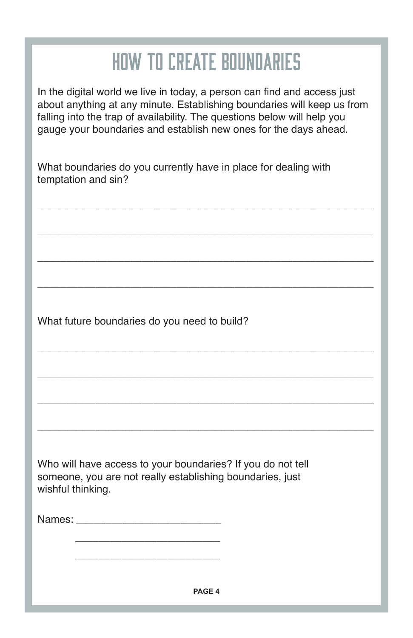### How to Create Boundaries

In the digital world we live in today, a person can find and access just about anything at any minute. Establishing boundaries will keep us from falling into the trap of availability. The questions below will help you gauge your boundaries and establish new ones for the days ahead.

\_\_\_\_\_\_\_\_\_\_\_\_\_\_\_\_\_\_\_\_\_\_\_\_\_\_\_\_\_\_\_\_\_\_\_\_\_\_\_\_\_\_\_\_\_\_\_\_\_\_\_\_\_\_\_\_\_\_

\_\_\_\_\_\_\_\_\_\_\_\_\_\_\_\_\_\_\_\_\_\_\_\_\_\_\_\_\_\_\_\_\_\_\_\_\_\_\_\_\_\_\_\_\_\_\_\_\_\_\_\_\_\_\_\_\_\_

\_\_\_\_\_\_\_\_\_\_\_\_\_\_\_\_\_\_\_\_\_\_\_\_\_\_\_\_\_\_\_\_\_\_\_\_\_\_\_\_\_\_\_\_\_\_\_\_\_\_\_\_\_\_\_\_\_\_

\_\_\_\_\_\_\_\_\_\_\_\_\_\_\_\_\_\_\_\_\_\_\_\_\_\_\_\_\_\_\_\_\_\_\_\_\_\_\_\_\_\_\_\_\_\_\_\_\_\_\_\_\_\_\_\_\_\_

\_\_\_\_\_\_\_\_\_\_\_\_\_\_\_\_\_\_\_\_\_\_\_\_\_\_\_\_\_\_\_\_\_\_\_\_\_\_\_\_\_\_\_\_\_\_\_\_\_\_\_\_\_\_\_\_\_\_

\_\_\_\_\_\_\_\_\_\_\_\_\_\_\_\_\_\_\_\_\_\_\_\_\_\_\_\_\_\_\_\_\_\_\_\_\_\_\_\_\_\_\_\_\_\_\_\_\_\_\_\_\_\_\_\_\_\_

\_\_\_\_\_\_\_\_\_\_\_\_\_\_\_\_\_\_\_\_\_\_\_\_\_\_\_\_\_\_\_\_\_\_\_\_\_\_\_\_\_\_\_\_\_\_\_\_\_\_\_\_\_\_\_\_\_\_

\_\_\_\_\_\_\_\_\_\_\_\_\_\_\_\_\_\_\_\_\_\_\_\_\_\_\_\_\_\_\_\_\_\_\_\_\_\_\_\_\_\_\_\_\_\_\_\_\_\_\_\_\_\_\_\_\_\_

What boundaries do you currently have in place for dealing with temptation and sin?

What future boundaries do you need to build?

Who will have access to your boundaries? If you do not tell someone, you are not really establishing boundaries, just wishful thinking.

| Names: |  |  |  |
|--------|--|--|--|
|        |  |  |  |
|        |  |  |  |

 $\frac{1}{\sqrt{2}}$  ,  $\frac{1}{\sqrt{2}}$  ,  $\frac{1}{\sqrt{2}}$  ,  $\frac{1}{\sqrt{2}}$  ,  $\frac{1}{\sqrt{2}}$  ,  $\frac{1}{\sqrt{2}}$  ,  $\frac{1}{\sqrt{2}}$  ,  $\frac{1}{\sqrt{2}}$  ,  $\frac{1}{\sqrt{2}}$  ,  $\frac{1}{\sqrt{2}}$  ,  $\frac{1}{\sqrt{2}}$  ,  $\frac{1}{\sqrt{2}}$  ,  $\frac{1}{\sqrt{2}}$  ,  $\frac{1}{\sqrt{2}}$  ,  $\frac{1}{\sqrt{2}}$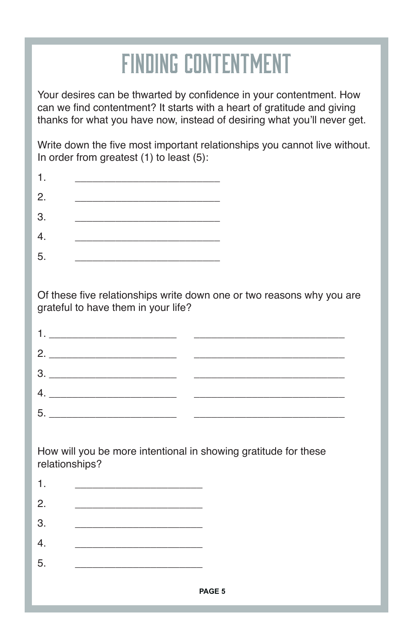### Finding Contentment

Your desires can be thwarted by confidence in your contentment. How can we find contentment? It starts with a heart of gratitude and giving thanks for what you have now, instead of desiring what you'll never get.

Write down the five most important relationships you cannot live without. In order from greatest (1) to least (5):

| 2. |  |  |
|----|--|--|
| 3. |  |  |
| 4. |  |  |
| 5. |  |  |

Of these five relationships write down one or two reasons why you are grateful to have them in your life?

| 2.                                                                                                                                                                                                                                                                                                                                                                                                                                                                                                                     |  |
|------------------------------------------------------------------------------------------------------------------------------------------------------------------------------------------------------------------------------------------------------------------------------------------------------------------------------------------------------------------------------------------------------------------------------------------------------------------------------------------------------------------------|--|
| 3.<br>$\begin{minipage}{.4\linewidth} \begin{tabular}{l} \hline \multicolumn{3}{c}{\textbf{0.1}} \end{tabular} \end{minipage} \begin{minipage}{.4\linewidth} \begin{tabular}{l} \hline \multicolumn{3}{c}{\textbf{0.1}} \end{tabular} \end{minipage} \begin{minipage}{.4\linewidth} \begin{tabular}{l} \hline \multicolumn{3}{c}{\textbf{0.1}} \end{tabular} \end{minipage} \begin{minipage}{.4\linewidth} \begin{tabular}{l} \hline \multicolumn{3}{c}{\textbf{0.1}} \end{tabular} \end{minipage} \begin{minipage}{.$ |  |
|                                                                                                                                                                                                                                                                                                                                                                                                                                                                                                                        |  |
| 5.                                                                                                                                                                                                                                                                                                                                                                                                                                                                                                                     |  |

How will you be more intentional in showing gratitude for these relationships?